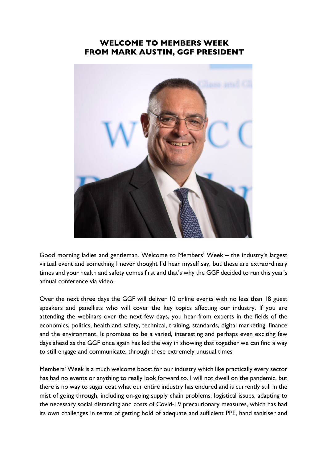## **WELCOME TO MEMBERS WEEK FROM MARK AUSTIN, GGF PRESIDENT**



Good morning ladies and gentleman. Welcome to Members' Week – the industry's largest virtual event and something I never thought I'd hear myself say, but these are extraordinary times and your health and safety comes first and that's why the GGF decided to run this year's annual conference via video.

Over the next three days the GGF will deliver 10 online events with no less than 18 guest speakers and panellists who will cover the key topics affecting our industry. If you are attending the webinars over the next few days, you hear from experts in the fields of the economics, politics, health and safety, technical, training, standards, digital marketing, finance and the environment. It promises to be a varied, interesting and perhaps even exciting few days ahead as the GGF once again has led the way in showing that together we can find a way to still engage and communicate, through these extremely unusual times

Members' Week is a much welcome boost for our industry which like practically every sector has had no events or anything to really look forward to. I will not dwell on the pandemic, but there is no way to sugar coat what our entire industry has endured and is currently still in the mist of going through, including on-going supply chain problems, logistical issues, adapting to the necessary social distancing and costs of Covid-19 precautionary measures, which has had its own challenges in terms of getting hold of adequate and sufficient PPE, hand sanitiser and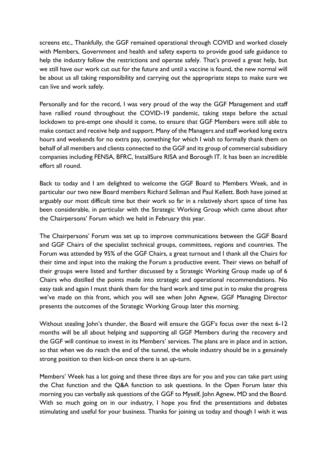screens etc., Thankfully, the GGF remained operational through COVID and worked closely with Members, Government and health and safety experts to provide good safe guidance to help the industry follow the restrictions and operate safely. That's proved a great help, but we still have our work cut out for the future and until a vaccine is found, the new normal will be about us all taking responsibility and carrying out the appropriate steps to make sure we can live and work safely.

Personally and for the record, I was very proud of the way the GGF Management and staff have rallied round throughout the COVID-19 pandemic, taking steps before the actual lockdown to pre-empt one should it come, to ensure that GGF Members were still able to make contact and receive help and support. Many of the Managers and staff worked long extra hours and weekends for no extra pay, something for which I wish to formally thank them on behalf of all members and clients connected to the GGF and its group of commercial subsidiary companies including FENSA, BFRC, InstallSure RISA and Borough IT. It has been an incredible effort all round.

Back to today and I am delighted to welcome the GGF Board to Members Week, and in particular our two new Board members Richard Sellman and Paul Kellett. Both have joined at arguably our most difficult time but their work so far in a relatively short space of time has been considerable, in particular with the Strategic Working Group which came about after the Chairpersons' Forum which we held in February this year.

The Chairpersons' Forum was set up to improve communications between the GGF Board and GGF Chairs of the specialist technical groups, committees, regions and countries. The Forum was attended by 95% of the GGF Chairs, a great turnout and I thank all the Chairs for their time and input into the making the Forum a productive event. Their views on behalf of their groups were listed and further discussed by a Strategic Working Group made up of 6 Chairs who distilled the points made into strategic and operational recommendations. No easy task and again I must thank them for the hard work and time put in to make the progress we've made on this front, which you will see when John Agnew, GGF Managing Director presents the outcomes of the Strategic Working Group later this morning.

Without stealing John's thunder, the Board will ensure the GGF's focus over the next 6-12 months will be all about helping and supporting all GGF Members during the recovery and the GGF will continue to invest in its Members' services. The plans are in place and in action, so that when we do reach the end of the tunnel, the whole industry should be in a genuinely strong position to then kick-on once there is an up-turn.

Members' Week has a lot going and these three days are for you and you can take part using the Chat function and the Q&A function to ask questions. In the Open Forum later this morning you can verbally ask questions of the GGF to Myself, John Agnew, MD and the Board. With so much going on in our industry, I hope you find the presentations and debates stimulating and useful for your business. Thanks for joining us today and though I wish it was